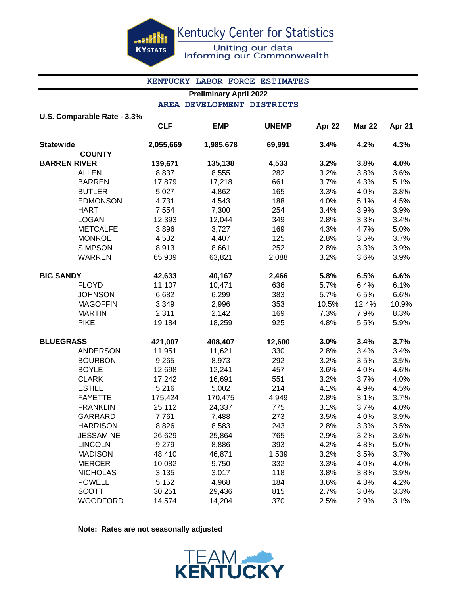ash **KYSTATS**  Kentucky Center for Statistics

Uniting our data Informing our Commonwealth

#### **KENTUCKY LABOR FORCE ESTIMATES**

# **Preliminary April 2022 AREA DEVELOPMENT DISTRICTS**

|                  | U.S. Comparable Rate - 3.3% |            |            |              |        |               |        |
|------------------|-----------------------------|------------|------------|--------------|--------|---------------|--------|
|                  |                             | <b>CLF</b> | <b>EMP</b> | <b>UNEMP</b> | Apr 22 | <b>Mar 22</b> | Apr 21 |
| <b>Statewide</b> |                             | 2,055,669  | 1,985,678  | 69,991       | 3.4%   | 4.2%          | 4.3%   |
|                  | <b>COUNTY</b>               |            |            |              |        |               |        |
|                  | <b>BARREN RIVER</b>         | 139,671    | 135,138    | 4,533        | 3.2%   | 3.8%          | 4.0%   |
|                  | <b>ALLEN</b>                | 8,837      | 8,555      | 282          | 3.2%   | 3.8%          | 3.6%   |
|                  | <b>BARREN</b>               | 17,879     | 17,218     | 661          | 3.7%   | 4.3%          | 5.1%   |
|                  | <b>BUTLER</b>               | 5,027      | 4,862      | 165          | 3.3%   | 4.0%          | 3.8%   |
|                  | <b>EDMONSON</b>             | 4,731      | 4,543      | 188          | 4.0%   | 5.1%          | 4.5%   |
|                  | <b>HART</b>                 | 7,554      | 7,300      | 254          | 3.4%   | 3.9%          | 3.9%   |
|                  | <b>LOGAN</b>                | 12,393     | 12,044     | 349          | 2.8%   | 3.3%          | 3.4%   |
|                  | <b>METCALFE</b>             | 3,896      | 3,727      | 169          | 4.3%   | 4.7%          | 5.0%   |
|                  | <b>MONROE</b>               | 4,532      | 4,407      | 125          | 2.8%   | 3.5%          | 3.7%   |
|                  | <b>SIMPSON</b>              | 8,913      | 8,661      | 252          | 2.8%   | 3.3%          | 3.9%   |
|                  | <b>WARREN</b>               | 65,909     | 63,821     | 2,088        | 3.2%   | 3.6%          | 3.9%   |
| <b>BIG SANDY</b> |                             | 42,633     | 40,167     | 2,466        | 5.8%   | 6.5%          | 6.6%   |
|                  | <b>FLOYD</b>                | 11,107     | 10,471     | 636          | 5.7%   | 6.4%          | 6.1%   |
|                  | <b>JOHNSON</b>              | 6,682      | 6,299      | 383          | 5.7%   | 6.5%          | 6.6%   |
|                  | <b>MAGOFFIN</b>             | 3,349      | 2,996      | 353          | 10.5%  | 12.4%         | 10.9%  |
|                  | <b>MARTIN</b>               | 2,311      | 2,142      | 169          | 7.3%   | 7.9%          | 8.3%   |
|                  | <b>PIKE</b>                 | 19,184     | 18,259     | 925          | 4.8%   | 5.5%          | 5.9%   |
| <b>BLUEGRASS</b> |                             | 421,007    | 408,407    | 12,600       | 3.0%   | 3.4%          | 3.7%   |
|                  | <b>ANDERSON</b>             | 11,951     | 11,621     | 330          | 2.8%   | 3.4%          | 3.4%   |
|                  | <b>BOURBON</b>              | 9,265      | 8,973      | 292          | 3.2%   | 3.5%          | 3.5%   |
|                  | <b>BOYLE</b>                | 12,698     | 12,241     | 457          | 3.6%   | 4.0%          | 4.6%   |
|                  | <b>CLARK</b>                | 17,242     | 16,691     | 551          | 3.2%   | 3.7%          | 4.0%   |
|                  | <b>ESTILL</b>               | 5,216      | 5,002      | 214          | 4.1%   | 4.9%          | 4.5%   |
|                  | <b>FAYETTE</b>              | 175,424    | 170,475    | 4,949        | 2.8%   | 3.1%          | 3.7%   |
|                  | <b>FRANKLIN</b>             | 25,112     | 24,337     | 775          | 3.1%   | 3.7%          | 4.0%   |
|                  | GARRARD                     | 7,761      | 7,488      | 273          | 3.5%   | 4.0%          | 3.9%   |
|                  | <b>HARRISON</b>             | 8,826      | 8,583      | 243          | 2.8%   | 3.3%          | 3.5%   |
|                  | <b>JESSAMINE</b>            | 26,629     | 25,864     | 765          | 2.9%   | 3.2%          | 3.6%   |
|                  | <b>LINCOLN</b>              | 9,279      | 8,886      | 393          | 4.2%   | 4.8%          | 5.0%   |
|                  | <b>MADISON</b>              | 48,410     | 46,871     | 1,539        | 3.2%   | 3.5%          | 3.7%   |
|                  | <b>MERCER</b>               | 10,082     | 9,750      | 332          | 3.3%   | 4.0%          | 4.0%   |
|                  | <b>NICHOLAS</b>             | 3,135      | 3,017      | 118          | 3.8%   | 3.8%          | 3.9%   |
|                  | <b>POWELL</b>               | 5,152      | 4,968      | 184          | 3.6%   | 4.3%          | 4.2%   |
|                  | <b>SCOTT</b>                | 30,251     | 29,436     | 815          | 2.7%   | 3.0%          | 3.3%   |
|                  | <b>WOODFORD</b>             | 14,574     | 14,204     | 370          | 2.5%   | 2.9%          | 3.1%   |

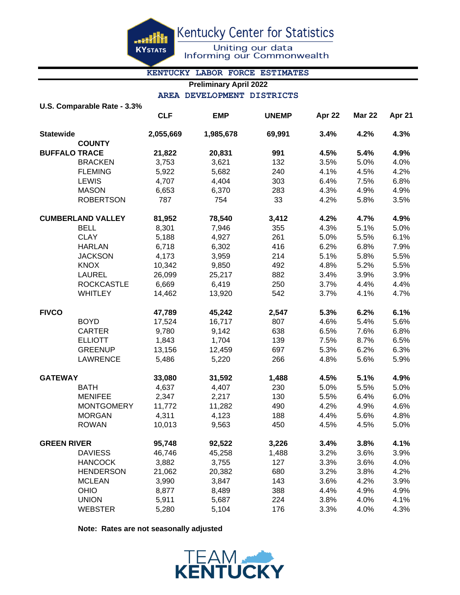en kir **KYSTATS**  Kentucky Center for Statistics

Uniting our data<br>Informing our Commonwealth

#### **KENTUCKY LABOR FORCE ESTIMATES**

## **Preliminary April 2022**

#### **AREA DEVELOPMENT DISTRICTS**

|                          | U.S. Comparable Rate - 3.3% |            |            |              |        |               |        |
|--------------------------|-----------------------------|------------|------------|--------------|--------|---------------|--------|
|                          |                             | <b>CLF</b> | <b>EMP</b> | <b>UNEMP</b> | Apr 22 | <b>Mar 22</b> | Apr 21 |
| <b>Statewide</b>         |                             | 2,055,669  | 1,985,678  | 69,991       | 3.4%   | 4.2%          | 4.3%   |
|                          | <b>COUNTY</b>               |            |            |              |        |               |        |
| <b>BUFFALO TRACE</b>     |                             | 21,822     | 20,831     | 991          | 4.5%   | 5.4%          | 4.9%   |
|                          | <b>BRACKEN</b>              | 3,753      | 3,621      | 132          | 3.5%   | 5.0%          | 4.0%   |
|                          | <b>FLEMING</b>              | 5,922      | 5,682      | 240          | 4.1%   | 4.5%          | 4.2%   |
|                          | <b>LEWIS</b>                | 4,707      | 4,404      | 303          | 6.4%   | 7.5%          | 6.8%   |
|                          | <b>MASON</b>                | 6,653      | 6,370      | 283          | 4.3%   | 4.9%          | 4.9%   |
|                          | <b>ROBERTSON</b>            | 787        | 754        | 33           | 4.2%   | 5.8%          | 3.5%   |
| <b>CUMBERLAND VALLEY</b> |                             | 81,952     | 78,540     | 3,412        | 4.2%   | 4.7%          | 4.9%   |
|                          | <b>BELL</b>                 | 8,301      | 7,946      | 355          | 4.3%   | 5.1%          | 5.0%   |
|                          | <b>CLAY</b>                 | 5,188      | 4,927      | 261          | 5.0%   | 5.5%          | 6.1%   |
|                          | <b>HARLAN</b>               | 6,718      | 6,302      | 416          | 6.2%   | 6.8%          | 7.9%   |
|                          | <b>JACKSON</b>              | 4,173      | 3,959      | 214          | 5.1%   | 5.8%          | 5.5%   |
|                          | <b>KNOX</b>                 | 10,342     | 9,850      | 492          | 4.8%   | 5.2%          | 5.5%   |
|                          | <b>LAUREL</b>               | 26,099     | 25,217     | 882          | 3.4%   | 3.9%          | 3.9%   |
|                          | <b>ROCKCASTLE</b>           | 6,669      | 6,419      | 250          | 3.7%   | 4.4%          | 4.4%   |
|                          | <b>WHITLEY</b>              | 14,462     | 13,920     | 542          | 3.7%   | 4.1%          | 4.7%   |
| <b>FIVCO</b>             |                             | 47,789     | 45,242     | 2,547        | 5.3%   | 6.2%          | 6.1%   |
|                          | <b>BOYD</b>                 | 17,524     | 16,717     | 807          | 4.6%   | 5.4%          | 5.6%   |
|                          | <b>CARTER</b>               | 9,780      | 9,142      | 638          | 6.5%   | 7.6%          | 6.8%   |
|                          | <b>ELLIOTT</b>              | 1,843      | 1,704      | 139          | 7.5%   | 8.7%          | 6.5%   |
|                          | <b>GREENUP</b>              | 13,156     | 12,459     | 697          | 5.3%   | 6.2%          | 6.3%   |
|                          | <b>LAWRENCE</b>             | 5,486      | 5,220      | 266          | 4.8%   | 5.6%          | 5.9%   |
| <b>GATEWAY</b>           |                             | 33,080     | 31,592     | 1,488        | 4.5%   | 5.1%          | 4.9%   |
|                          | <b>BATH</b>                 | 4,637      | 4,407      | 230          | 5.0%   | 5.5%          | 5.0%   |
|                          | <b>MENIFEE</b>              | 2,347      | 2,217      | 130          | 5.5%   | 6.4%          | 6.0%   |
|                          | <b>MONTGOMERY</b>           | 11,772     | 11,282     | 490          | 4.2%   | 4.9%          | 4.6%   |
|                          | <b>MORGAN</b>               | 4,311      | 4,123      | 188          | 4.4%   | 5.6%          | 4.8%   |
|                          | <b>ROWAN</b>                | 10,013     | 9,563      | 450          | 4.5%   | 4.5%          | 5.0%   |
| <b>GREEN RIVER</b>       |                             | 95,748     | 92,522     | 3,226        | 3.4%   | 3.8%          | 4.1%   |
|                          | <b>DAVIESS</b>              | 46,746     | 45,258     | 1,488        | 3.2%   | 3.6%          | 3.9%   |
|                          | <b>HANCOCK</b>              | 3,882      | 3,755      | 127          | 3.3%   | 3.6%          | 4.0%   |
|                          | <b>HENDERSON</b>            | 21,062     | 20,382     | 680          | 3.2%   | 3.8%          | 4.2%   |
|                          | <b>MCLEAN</b>               | 3,990      | 3,847      | 143          | 3.6%   | 4.2%          | 3.9%   |
|                          | <b>OHIO</b>                 | 8,877      | 8,489      | 388          | 4.4%   | 4.9%          | 4.9%   |
|                          | <b>UNION</b>                | 5,911      | 5,687      | 224          | 3.8%   | 4.0%          | 4.1%   |
|                          | <b>WEBSTER</b>              | 5,280      | 5,104      | 176          | 3.3%   | 4.0%          | 4.3%   |

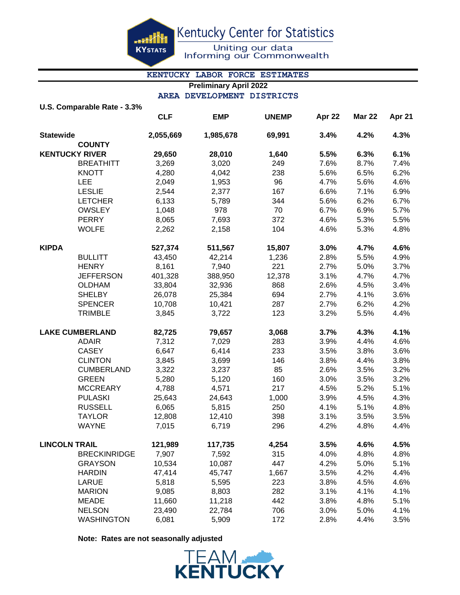Kentucky Center for Statistics

**KYSTATS** 

ashi

Uniting our data<br>Informing our Commonwealth

# **KENTUCKY LABOR FORCE ESTIMATES**

## **Preliminary April 2022 AREA DEVELOPMENT DISTRICTS**

|  | U.S. Comparable Rate - 3.3% |  |  |
|--|-----------------------------|--|--|

|                        |                     | <b>CLF</b> | <b>EMP</b> | <b>UNEMP</b> | Apr 22 | <b>Mar 22</b> | Apr 21 |
|------------------------|---------------------|------------|------------|--------------|--------|---------------|--------|
| <b>Statewide</b>       |                     | 2,055,669  | 1,985,678  | 69,991       | 3.4%   | 4.2%          | 4.3%   |
|                        | <b>COUNTY</b>       |            |            |              |        |               |        |
| <b>KENTUCKY RIVER</b>  |                     | 29,650     | 28,010     | 1,640        | 5.5%   | 6.3%          | 6.1%   |
|                        | <b>BREATHITT</b>    | 3,269      | 3,020      | 249          | 7.6%   | 8.7%          | 7.4%   |
|                        | <b>KNOTT</b>        | 4,280      | 4,042      | 238          | 5.6%   | 6.5%          | 6.2%   |
|                        | LEE                 | 2,049      | 1,953      | 96           | 4.7%   | 5.6%          | 4.6%   |
|                        | <b>LESLIE</b>       | 2,544      | 2,377      | 167          | 6.6%   | 7.1%          | 6.9%   |
|                        | <b>LETCHER</b>      | 6,133      | 5,789      | 344          | 5.6%   | 6.2%          | 6.7%   |
|                        | <b>OWSLEY</b>       | 1,048      | 978        | 70           | 6.7%   | 6.9%          | 5.7%   |
|                        | <b>PERRY</b>        | 8,065      | 7,693      | 372          | 4.6%   | 5.3%          | 5.5%   |
|                        | <b>WOLFE</b>        | 2,262      | 2,158      | 104          | 4.6%   | 5.3%          | 4.8%   |
| <b>KIPDA</b>           |                     | 527,374    | 511,567    | 15,807       | 3.0%   | 4.7%          | 4.6%   |
|                        | <b>BULLITT</b>      | 43,450     | 42,214     | 1,236        | 2.8%   | 5.5%          | 4.9%   |
|                        | <b>HENRY</b>        | 8,161      | 7,940      | 221          | 2.7%   | 5.0%          | 3.7%   |
|                        | <b>JEFFERSON</b>    | 401,328    | 388,950    | 12,378       | 3.1%   | 4.7%          | 4.7%   |
|                        | <b>OLDHAM</b>       | 33,804     | 32,936     | 868          | 2.6%   | 4.5%          | 3.4%   |
|                        | <b>SHELBY</b>       | 26,078     | 25,384     | 694          | 2.7%   | 4.1%          | 3.6%   |
|                        | <b>SPENCER</b>      | 10,708     | 10,421     | 287          | 2.7%   | 6.2%          | 4.2%   |
|                        | <b>TRIMBLE</b>      | 3,845      | 3,722      | 123          | 3.2%   | 5.5%          | 4.4%   |
| <b>LAKE CUMBERLAND</b> |                     | 82,725     | 79,657     | 3,068        | 3.7%   | 4.3%          | 4.1%   |
|                        | <b>ADAIR</b>        | 7,312      | 7,029      | 283          | 3.9%   | 4.4%          | 4.6%   |
|                        | <b>CASEY</b>        | 6,647      | 6,414      | 233          | 3.5%   | 3.8%          | 3.6%   |
|                        | <b>CLINTON</b>      | 3,845      | 3,699      | 146          | 3.8%   | 4.4%          | 3.8%   |
|                        | <b>CUMBERLAND</b>   | 3,322      | 3,237      | 85           | 2.6%   | 3.5%          | 3.2%   |
|                        | <b>GREEN</b>        | 5,280      | 5,120      | 160          | 3.0%   | 3.5%          | 3.2%   |
|                        | <b>MCCREARY</b>     | 4,788      | 4,571      | 217          | 4.5%   | 5.2%          | 5.1%   |
|                        | <b>PULASKI</b>      | 25,643     | 24,643     | 1,000        | 3.9%   | 4.5%          | 4.3%   |
|                        | <b>RUSSELL</b>      | 6,065      | 5,815      | 250          | 4.1%   | 5.1%          | 4.8%   |
|                        | <b>TAYLOR</b>       | 12,808     | 12,410     | 398          | 3.1%   | 3.5%          | 3.5%   |
|                        | <b>WAYNE</b>        | 7,015      | 6,719      | 296          | 4.2%   | 4.8%          | 4.4%   |
| <b>LINCOLN TRAIL</b>   |                     | 121,989    | 117,735    | 4,254        | 3.5%   | 4.6%          | 4.5%   |
|                        | <b>BRECKINRIDGE</b> | 7,907      | 7,592      | 315          | 4.0%   | 4.8%          | 4.8%   |
|                        | <b>GRAYSON</b>      | 10,534     | 10,087     | 447          | 4.2%   | 5.0%          | 5.1%   |
|                        | <b>HARDIN</b>       | 47,414     | 45,747     | 1,667        | 3.5%   | 4.2%          | 4.4%   |
|                        | <b>LARUE</b>        | 5,818      | 5,595      | 223          | 3.8%   | 4.5%          | 4.6%   |
|                        | <b>MARION</b>       | 9,085      | 8,803      | 282          | 3.1%   | 4.1%          | 4.1%   |
|                        | <b>MEADE</b>        | 11,660     | 11,218     | 442          | 3.8%   | 4.8%          | 5.1%   |
|                        | <b>NELSON</b>       | 23,490     | 22,784     | 706          | 3.0%   | 5.0%          | 4.1%   |
|                        | <b>WASHINGTON</b>   | 6,081      | 5,909      | 172          | 2.8%   | 4.4%          | 3.5%   |